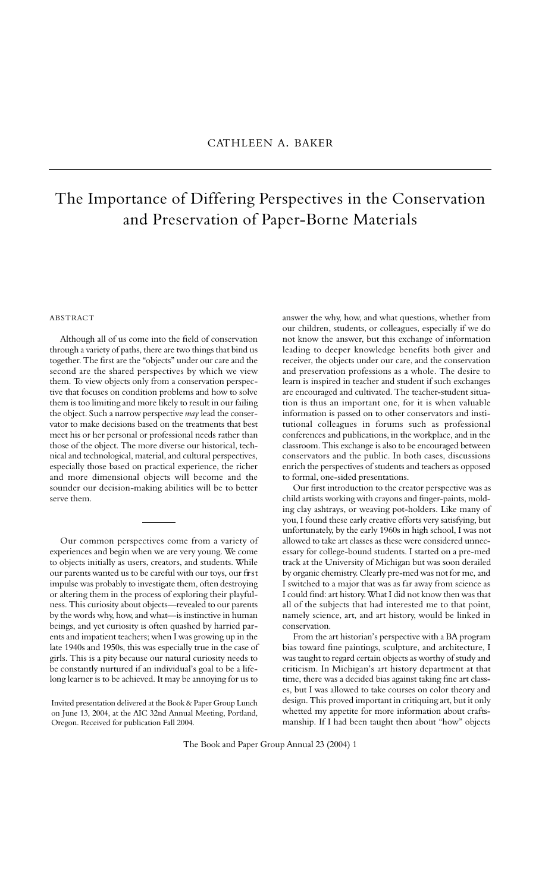## The Importance of Differing Perspectives in the Conservation and Preservation of Paper-Borne Materials

## **ABSTRACT**

Although all of us come into the field of conservation through a variety of paths, there are two things that bind us together. The first are the "objects" under our care and the second are the shared perspectives by which we view them. To view objects only from a conservation perspective that focuses on condition problems and how to solve them is too limiting and more likely to result in our failing the object. Such a narrow perspective *may* lead the conservator to make decisions based on the treatments that best meet his or her personal or professional needs rather than those of the object. The more diverse our historical, technical and technological, material, and cultural perspectives, especially those based on practical experience, the richer and more dimensional objects will become and the sounder our decision-making abilities will be to better serve them.

Our common perspectives come from a variety of experiences and begin when we are very young. We come to objects initially as users, creators, and students. While our parents wanted us to be careful with our toys, our first impulse was probably to investigate them, often destroying or altering them in the process of exploring their playfulness. This curiosity about objects—revealed to our parents by the words why, how, and what—is instinctive in human beings, and yet curiosity is often quashed by harried parents and impatient teachers; when I was growing up in the late 1940s and 1950s, this was especially true in the case of girls. This is a pity because our natural curiosity needs to be constantly nurtured if an individual's goal to be a lifelong learner is to be achieved. It may be annoying for us to

Invited presentation delivered at the Book & Paper Group Lunch on June 13, 2004, at the AIC 32nd Annual Meeting, Portland, Oregon. Received for publication Fall 2004.

answer the why, how, and what questions, whether from our children, students, or colleagues, especially if we do not know the answer, but this exchange of information leading to deeper knowledge benefits both giver and receiver, the objects under our care, and the conservation and preservation professions as a whole. The desire to learn is inspired in teacher and student if such exchanges are encouraged and cultivated. The teacher-student situation is thus an important one, for it is when valuable information is passed on to other conservators and institutional colleagues in forums such as professional conferences and publications, in the workplace, and in the classroom. This exchange is also to be encouraged between conservators and the public. In both cases, discussions enrich the perspectives of students and teachers as opposed to formal, one-sided presentations.

Our first introduction to the creator perspective was as child artists working with crayons and finger-paints, molding clay ashtrays, or weaving pot-holders. Like many of you, I found these early creative efforts very satisfying, but unfortunately, by the early 1960s in high school, I was not allowed to take art classes as these were considered unnecessary for college-bound students. I started on a pre-med track at the University of Michigan but was soon derailed by organic chemistry. Clearly pre-med was not for me, and I switched to a major that was as far away from science as I could find: art history. What I did not know then was that all of the subjects that had interested me to that point, namely science, art, and art history, would be linked in conservation.

From the art historian's perspective with a BA program bias toward fine paintings, sculpture, and architecture, I was taught to regard certain objects as worthy of study and criticism. In Michigan's art history department at that time, there was a decided bias against taking fine art classes, but I was allowed to take courses on color theory and design. This proved important in critiquing art, but it only whetted my appetite for more information about craftsmanship. If I had been taught then about "how" objects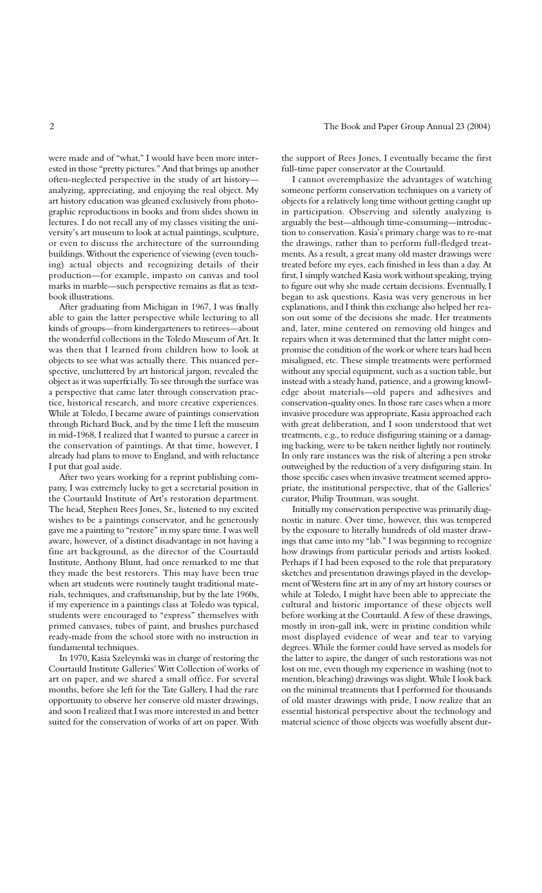were made and of "what," I would have been more interested in those "pretty pictures." And that brings up another often-neglected perspective in the study of art history analyzing, appreciating, and enjoying the real object. My art history education was gleaned exclusively from photographic reproductions in books and from slides shown in lectures. I do not recall any of my classes visiting the university's art museum to look at actual paintings, sculpture, or even to discuss the architecture of the surrounding buildings. Without the experience of viewing (even touching) actual objects and recognizing details of their production—for example, impasto on canvas and tool marks in marble—such perspective remains as flat as textbook illustrations.

After graduating from Michigan in 1967, I was finally able to gain the latter perspective while lecturing to all kinds of groups—from kindergarteners to retirees—about the wonderful collections in the Toledo Museum of Art. It was then that I learned from children how to look at objects to see what was actually there. This nuanced perspective, uncluttered by art historical jargon, revealed the object as it was superficially. To see through the surface was a perspective that came later through conservation practice, historical research, and more creative experiences. While at Toledo, I became aware of paintings conservation through Richard Buck, and by the time I left the museum in mid-1968, I realized that I wanted to pursue a career in the conservation of paintings. At that time, however, I already had plans to move to England, and with reluctance I put that goal aside.

After two years working for a reprint publishing company, I was extremely lucky to get a secretarial position in the Courtauld Institute of Art's restoration department. The head, Stephen Rees Jones, Sr., listened to my excited wishes to be a paintings conservator, and he generously gave me a painting to "restore" in my spare time. I was well aware, however, of a distinct disadvantage in not having a fine art background, as the director of the Courtauld Institute, Anthony Blunt, had once remarked to me that they made the best restorers. This may have been true when art students were routinely taught traditional materials, techniques, and craftsmanship, but by the late 1960s, if my experience in a paintings class at Toledo was typical, students were encouraged to "express" themselves with primed canvases, tubes of paint, and brushes purchased ready-made from the school store with no instruction in fundamental techniques.

In 1970, Kasia Szeleynski was in charge of restoring the Courtauld Institute Galleries' Witt Collection of works of art on paper, and we shared a small office. For several months, before she left for the Tate Gallery, I had the rare opportunity to observe her conserve old master drawings, and soon I realized that I was more interested in and better suited for the conservation of works of art on paper. With

the support of Rees Jones, I eventually became the first full-time paper conservator at the Courtauld.

I cannot overemphasize the advantages of watching someone perform conservation techniques on a variety of objects for a relatively long time without getting caught up in participation. Observing and silently analyzing is arguably the best—although time-consuming—introduction to conservation. Kasia's primary charge was to re-mat the drawings, rather than to perform full-fledged treatments. As a result, a great many old master drawings were treated before my eyes, each finished in less than a day. At first, I simply watched Kasia work without speaking, trying to figure out why she made certain decisions. Eventually, I began to ask questions. Kasia was very generous in her explanations, and I think this exchange also helped her reason out some of the decisions she made. Her treatments and, later, mine centered on removing old hinges and repairs when it was determined that the latter might compromise the condition of the work or where tears had been misaligned, etc. These simple treatments were performed without any special equipment, such as a suction table, but instead with a steady hand, patience, and a growing knowledge about materials—old papers and adhesives and conservation-quality ones. In those rare cases when a more invasive procedure was appropriate, Kasia approached each with great deliberation, and I soon understood that wet treatments, e.g., to reduce disfiguring staining or a damaging backing, were to be taken neither lightly nor routinely. In only rare instances was the risk of altering a pen stroke outweighed by the reduction of a very disfiguring stain. In those specific cases when invasive treatment seemed appropriate, the institutional perspective, that of the Galleries' curator, Philip Troutman, was sought.

Initially my conservation perspective was primarily diagnostic in nature. Over time, however, this was tempered by the exposure to literally hundreds of old master drawings that came into my "lab." I was beginning to recognize how drawings from particular periods and artists looked. Perhaps if I had been exposed to the role that preparatory sketches and presentation drawings played in the development of Western fine art in any of my art history courses or while at Toledo, I might have been able to appreciate the cultural and historic importance of these objects well before working at the Courtauld. A few of these drawings, mostly in iron-gall ink, were in pristine condition while most displayed evidence of wear and tear to varying degrees. While the former could have served as models for the latter to aspire, the danger of such restorations was not lost on me, even though my experience in washing (not to mention, bleaching) drawings was slight. While I look back on the minimal treatments that I performed for thousands of old master drawings with pride, I now realize that an essential historical perspective about the technology and material science of those objects was woefully absent dur-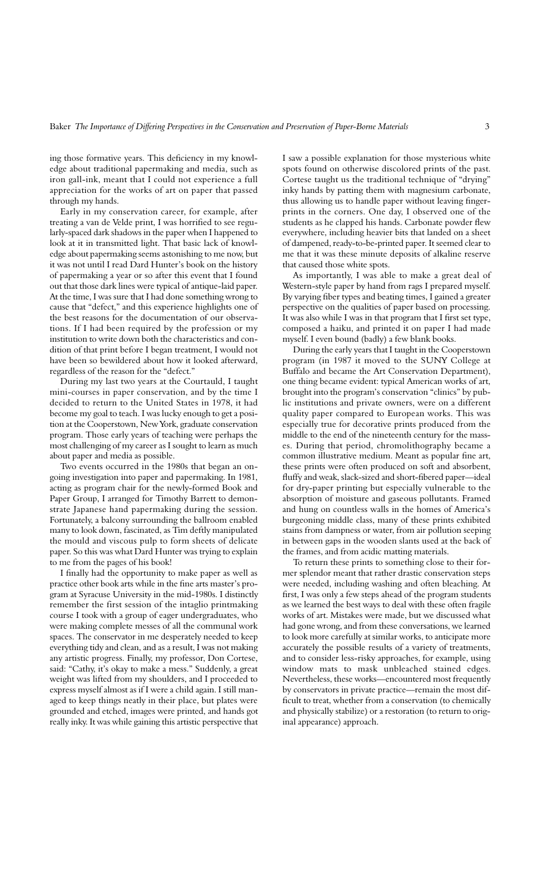ing those formative years. This deficiency in my knowledge about traditional papermaking and media, such as iron gall-ink, meant that I could not experience a full appreciation for the works of art on paper that passed through my hands.

Early in my conservation career, for example, after treating a van de Velde print, I was horrified to see regularly-spaced dark shadows in the paper when I happened to look at it in transmitted light. That basic lack of knowledge about papermaking seems astonishing to me now, but it was not until I read Dard Hunter's book on the history of papermaking a year or so after this event that I found out that those dark lines were typical of antique-laid paper. At the time, I was sure that I had done something wrong to cause that "defect," and this experience highlights one of the best reasons for the documentation of our observations. If I had been required by the profession or my institution to write down both the characteristics and condition of that print before I began treatment, I would not have been so bewildered about how it looked afterward, regardless of the reason for the "defect."

During my last two years at the Courtauld, I taught mini-courses in paper conservation, and by the time I decided to return to the United States in 1978, it had become my goal to teach. I was lucky enough to get a position at the Cooperstown, New York, graduate conservation program. Those early years of teaching were perhaps the most challenging of my career as I sought to learn as much about paper and media as possible.

Two events occurred in the 1980s that began an ongoing investigation into paper and papermaking. In 1981, acting as program chair for the newly-formed Book and Paper Group, I arranged for Timothy Barrett to demonstrate Japanese hand papermaking during the session. Fortunately, a balcony surrounding the ballroom enabled many to look down, fascinated, as Tim deftly manipulated the mould and viscous pulp to form sheets of delicate paper. So this was what Dard Hunter was trying to explain to me from the pages of his book!

I finally had the opportunity to make paper as well as practice other book arts while in the fine arts master's program at Syracuse University in the mid-1980s. I distinctly remember the first session of the intaglio printmaking course I took with a group of eager undergraduates, who were making complete messes of all the communal work spaces. The conservator in me desperately needed to keep everything tidy and clean, and as a result, I was not making any artistic progress. Finally, my professor, Don Cortese, said: "Cathy, it's okay to make a mess." Suddenly, a great weight was lifted from my shoulders, and I proceeded to express myself almost as if I were a child again. I still managed to keep things neatly in their place, but plates were grounded and etched, images were printed, and hands got really inky. It was while gaining this artistic perspective that

I saw a possible explanation for those mysterious white spots found on otherwise discolored prints of the past. Cortese taught us the traditional technique of "drying" inky hands by patting them with magnesium carbonate, thus allowing us to handle paper without leaving fingerprints in the corners. One day, I observed one of the students as he clapped his hands. Carbonate powder flew everywhere, including heavier bits that landed on a sheet of dampened, ready-to-be-printed paper. It seemed clear to me that it was these minute deposits of alkaline reserve that caused those white spots.

As importantly, I was able to make a great deal of Western-style paper by hand from rags I prepared myself. By varying fiber types and beating times, I gained a greater perspective on the qualities of paper based on processing. It was also while I was in that program that I first set type, composed a haiku, and printed it on paper I had made myself. I even bound (badly) a few blank books.

During the early years that I taught in the Cooperstown program (in 1987 it moved to the SUNY College at Buffalo and became the Art Conservation Department), one thing became evident: typical American works of art, brought into the program's conservation "clinics" by public institutions and private owners, were on a different quality paper compared to European works. This was especially true for decorative prints produced from the middle to the end of the nineteenth century for the masses. During that period, chromolithography became a common illustrative medium. Meant as popular fine art, these prints were often produced on soft and absorbent, fluffy and weak, slack-sized and short-fibered paper—ideal for dry-paper printing but especially vulnerable to the absorption of moisture and gaseous pollutants. Framed and hung on countless walls in the homes of America's burgeoning middle class, many of these prints exhibited stains from dampness or water, from air pollution seeping in between gaps in the wooden slants used at the back of the frames, and from acidic matting materials.

To return these prints to something close to their former splendor meant that rather drastic conservation steps were needed, including washing and often bleaching. At first, I was only a few steps ahead of the program students as we learned the best ways to deal with these often fragile works of art. Mistakes were made, but we discussed what had gone wrong, and from these conversations, we learned to look more carefully at similar works, to anticipate more accurately the possible results of a variety of treatments, and to consider less-risky approaches, for example, using window mats to mask unbleached stained edges. Nevertheless, these works—encountered most frequently by conservators in private practice—remain the most difficult to treat, whether from a conservation (to chemically and physically stabilize) or a restoration (to return to original appearance) approach.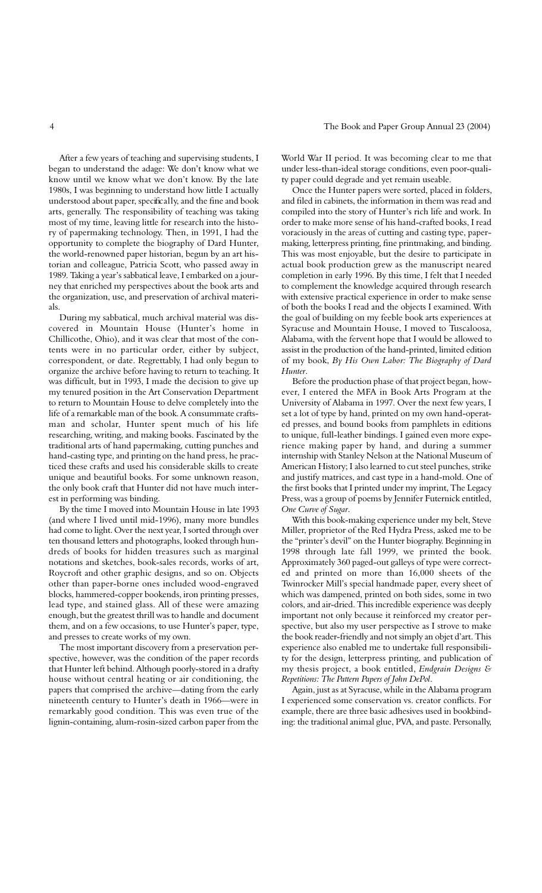After a few years of teaching and supervising students, I began to understand the adage: We don't know what we know until we know what we don't know. By the late 1980s, I was beginning to understand how little I actually understood about paper, specifically, and the fine and book arts, generally. The responsibility of teaching was taking most of my time, leaving little for research into the history of papermaking technology. Then, in 1991, I had the opportunity to complete the biography of Dard Hunter, the world-renowned paper historian, begun by an art historian and colleague, Patricia Scott, who passed away in 1989. Taking a year's sabbatical leave, I embarked on a journey that enriched my perspectives about the book arts and the organization, use, and preservation of archival materials.

During my sabbatical, much archival material was discovered in Mountain House (Hunter's home in Chillicothe, Ohio), and it was clear that most of the contents were in no particular order, either by subject, correspondent, or date. Regrettably, I had only begun to organize the archive before having to return to teaching. It was difficult, but in 1993, I made the decision to give up my tenured position in the Art Conservation Department to return to Mountain House to delve completely into the life of a remarkable man of the book. A consummate craftsman and scholar, Hunter spent much of his life researching, writing, and making books. Fascinated by the traditional arts of hand papermaking, cutting punches and hand-casting type, and printing on the hand press, he practiced these crafts and used his considerable skills to create unique and beautiful books. For some unknown reason, the only book craft that Hunter did not have much interest in performing was binding.

By the time I moved into Mountain House in late 1993 (and where I lived until mid-1996), many more bundles had come to light. Over the next year, I sorted through over ten thousand letters and photographs, looked through hundreds of books for hidden treasures such as marginal notations and sketches, book-sales records, works of art, Roycroft and other graphic designs, and so on. Objects other than paper-borne ones included wood-engraved blocks, hammered-copper bookends, iron printing presses, lead type, and stained glass. All of these were amazing enough, but the greatest thrill was to handle and document them, and on a few occasions, to use Hunter's paper, type, and presses to create works of my own.

The most important discovery from a preservation perspective, however, was the condition of the paper records that Hunter left behind. Although poorly-stored in a drafty house without central heating or air conditioning, the papers that comprised the archive—dating from the early nineteenth century to Hunter's death in 1966—were in remarkably good condition. This was even true of the lignin-containing, alum-rosin-sized carbon paper from the

World War II period. It was becoming clear to me that under less-than-ideal storage conditions, even poor-quality paper could degrade and yet remain useable.

Once the Hunter papers were sorted, placed in folders, and filed in cabinets, the information in them was read and compiled into the story of Hunter's rich life and work. In order to make more sense of his hand-crafted books, I read voraciously in the areas of cutting and casting type, papermaking, letterpress printing, fine printmaking, and binding. This was most enjoyable, but the desire to participate in actual book production grew as the manuscript neared completion in early 1996. By this time, I felt that I needed to complement the knowledge acquired through research with extensive practical experience in order to make sense of both the books I read and the objects I examined. With the goal of building on my feeble book arts experiences at Syracuse and Mountain House, I moved to Tuscaloosa, Alabama, with the fervent hope that I would be allowed to assist in the production of the hand-printed, limited edition of my book, *By His Own Labor: The Biography of Dard Hunter*.

Before the production phase of that project began, however, I entered the MFA in Book Arts Program at the University of Alabama in 1997. Over the next few years, I set a lot of type by hand, printed on my own hand-operated presses, and bound books from pamphlets in editions to unique, full-leather bindings. I gained even more experience making paper by hand, and during a summer internship with Stanley Nelson at the National Museum of American History; I also learned to cut steel punches, strike and justify matrices, and cast type in a hand-mold. One of the first books that I printed under my imprint, The Legacy Press, was a group of poems by Jennifer Futernick entitled, *One Curve of Sugar*.

With this book-making experience under my belt, Steve Miller, proprietor of the Red Hydra Press, asked me to be the "printer's devil" on the Hunter biography. Beginning in 1998 through late fall 1999, we printed the book. Approximately 360 paged-out galleys of type were corrected and printed on more than 16,000 sheets of the Twinrocker Mill's special handmade paper, every sheet of which was dampened, printed on both sides, some in two colors, and air-dried. This incredible experience was deeply important not only because it reinforced my creator perspective, but also my user perspective as I strove to make the book reader-friendly and not simply an objet d'art. This experience also enabled me to undertake full responsibility for the design, letterpress printing, and publication of my thesis project, a book entitled, *Endgrain Designs & Repetitions: The Pattern Papers of John DePol*.

Again, just as at Syracuse, while in the Alabama program I experienced some conservation vs. creator conflicts. For example, there are three basic adhesives used in bookbinding: the traditional animal glue, PVA, and paste. Personally,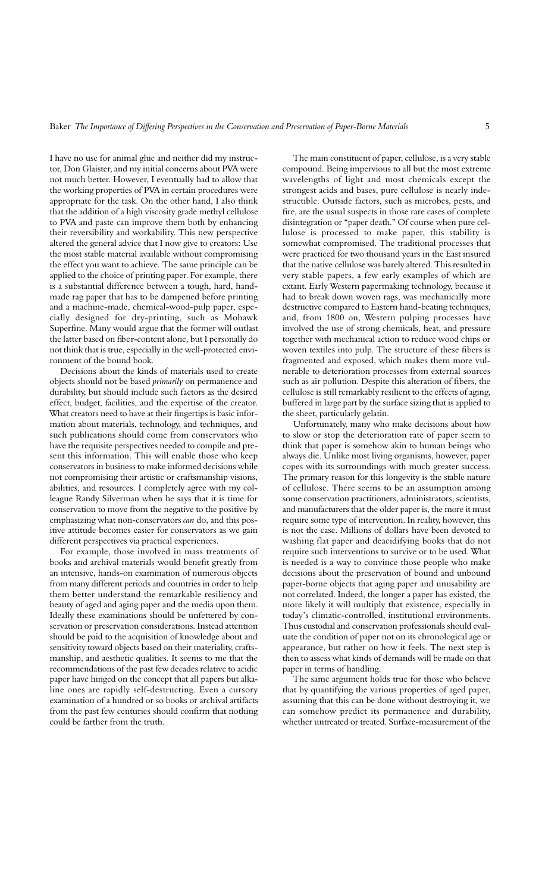I have no use for animal glue and neither did my instructor, Don Glaister, and my initial concerns about PVA were not much better. However, I eventually had to allow that the working properties of PVA in certain procedures were appropriate for the task. On the other hand, I also think that the addition of a high viscosity grade methyl cellulose to PVA and paste can improve them both by enhancing their reversibility and workability. This new perspective altered the general advice that I now give to creators: Use the most stable material available without compromising the effect you want to achieve. The same principle can be applied to the choice of printing paper. For example, there is a substantial difference between a tough, hard, handmade rag paper that has to be dampened before printing and a machine-made, chemical-wood-pulp paper, especially designed for dry-printing, such as Mohawk Superfine. Many would argue that the former will outlast the latter based on fiber-content alone, but I personally do not think that is true, especially in the well-protected environment of the bound book.

Decisions about the kinds of materials used to create objects should not be based *primarily* on permanence and durability, but should include such factors as the desired effect, budget, facilities, and the expertise of the creator. What creators need to have at their fingertips is basic information about materials, technology, and techniques, and such publications should come from conservators who have the requisite perspectives needed to compile and present this information. This will enable those who keep conservators in business to make informed decisions while not compromising their artistic or craftsmanship visions, abilities, and resources. I completely agree with my colleague Randy Silverman when he says that it is time for conservation to move from the negative to the positive by emphasizing what non-conservators *can* do, and this positive attitude becomes easier for conservators as we gain different perspectives via practical experiences.

For example, those involved in mass treatments of books and archival materials would benefit greatly from an intensive, hands-on examination of numerous objects from many different periods and countries in order to help them better understand the remarkable resiliency and beauty of aged and aging paper and the media upon them. Ideally these examinations should be unfettered by conservation or preservation considerations. Instead attention should be paid to the acquisition of knowledge about and sensitivity toward objects based on their materiality, craftsmanship, and aesthetic qualities. It seems to me that the recommendations of the past few decades relative to acidic paper have hinged on the concept that all papers but alkaline ones are rapidly self-destructing. Even a cursory examination of a hundred or so books or archival artifacts from the past few centuries should confirm that nothing could be farther from the truth.

The main constituent of paper, cellulose, is a very stable compound. Being impervious to all but the most extreme wavelengths of light and most chemicals except the strongest acids and bases, pure cellulose is nearly indestructible. Outside factors, such as microbes, pests, and fire, are the usual suspects in those rare cases of complete disintegration or "paper death." Of course when pure cellulose is processed to make paper, this stability is somewhat compromised. The traditional processes that were practiced for two thousand years in the East insured that the native cellulose was barely altered. This resulted in very stable papers, a few early examples of which are extant. Early Western papermaking technology, because it had to break down woven rags, was mechanically more destructive compared to Eastern hand-beating techniques, and, from 1800 on, Western pulping processes have involved the use of strong chemicals, heat, and pressure together with mechanical action to reduce wood chips or woven textiles into pulp. The structure of these fibers is fragmented and exposed, which makes them more vulnerable to deterioration processes from external sources such as air pollution. Despite this alteration of fibers, the cellulose is still remarkably resilient to the effects of aging, buffered in large part by the surface sizing that is applied to the sheet, particularly gelatin.

Unfortunately, many who make decisions about how to slow or stop the deterioration rate of paper seem to think that paper is somehow akin to human beings who always die. Unlike most living organisms, however, paper copes with its surroundings with much greater success. The primary reason for this longevity is the stable nature of cellulose. There seems to be an assumption among some conservation practitioners, administrators, scientists, and manufacturers that the older paper is, the more it must require some type of intervention. In reality, however, this is not the case. Millions of dollars have been devoted to washing flat paper and deacidifying books that do not require such interventions to survive or to be used. What is needed is a way to convince those people who make decisions about the preservation of bound and unbound paper-borne objects that aging paper and unusability are not correlated. Indeed, the longer a paper has existed, the more likely it will multiply that existence, especially in today's climatic-controlled, institutional environments. Thus custodial and conservation professionals should evaluate the condition of paper not on its chronological age or appearance, but rather on how it feels. The next step is then to assess what kinds of demands will be made on that paper in terms of handling.

The same argument holds true for those who believe that by quantifying the various properties of aged paper, assuming that this can be done without destroying it, we can somehow predict its permanence and durability, whether untreated or treated. Surface-measurement of the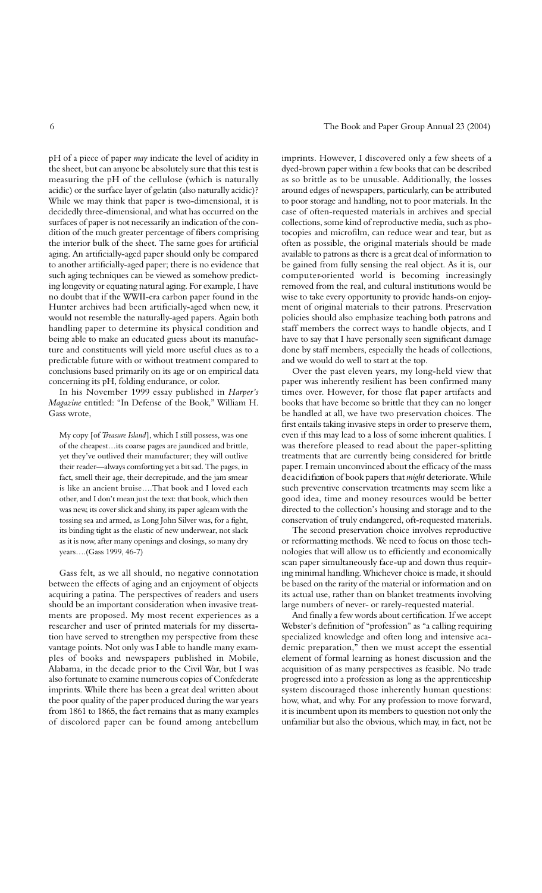pH of a piece of paper *may* indicate the level of acidity in the sheet, but can anyone be absolutely sure that this test is measuring the pH of the cellulose (which is naturally acidic) or the surface layer of gelatin (also naturally acidic)? While we may think that paper is two-dimensional, it is decidedly three-dimensional, and what has occurred on the surfaces of paper is not necessarily an indication of the condition of the much greater percentage of fibers comprising the interior bulk of the sheet. The same goes for artificial aging. An artificially-aged paper should only be compared to another artificially-aged paper; there is no evidence that such aging techniques can be viewed as somehow predicting longevity or equating natural aging. For example, I have no doubt that if the WWII-era carbon paper found in the Hunter archives had been artificially-aged when new, it would not resemble the naturally-aged papers. Again both handling paper to determine its physical condition and being able to make an educated guess about its manufacture and constituents will yield more useful clues as to a predictable future with or without treatment compared to conclusions based primarily on its age or on empirical data concerning its pH, folding endurance, or color.

In his November 1999 essay published in *Harper's Magazine* entitled: "In Defense of the Book," William H. Gass wrote,

My copy [of *Treasure Island*], which I still possess, was one of the cheapest…its coarse pages are jaundiced and brittle, yet they've outlived their manufacturer; they will outlive their reader—always comforting yet a bit sad. The pages, in fact, smell their age, their decrepitude, and the jam smear is like an ancient bruise….That book and I loved each other, and I don't mean just the text: that book, which then was new, its cover slick and shiny, its paper agleam with the tossing sea and armed, as Long John Silver was, for a fight, its binding tight as the elastic of new underwear, not slack as it is now, after many openings and closings, so many dry years….(Gass 1999, 46-7)

Gass felt, as we all should, no negative connotation between the effects of aging and an enjoyment of objects acquiring a patina. The perspectives of readers and users should be an important consideration when invasive treatments are proposed. My most recent experiences as a researcher and user of printed materials for my dissertation have served to strengthen my perspective from these vantage points. Not only was I able to handle many examples of books and newspapers published in Mobile, Alabama, in the decade prior to the Civil War, but I was also fortunate to examine numerous copies of Confederate imprints. While there has been a great deal written about the poor quality of the paper produced during the war years from 1861 to 1865, the fact remains that as many examples of discolored paper can be found among antebellum

imprints. However, I discovered only a few sheets of a dyed-brown paper within a few books that can be described as so brittle as to be unusable. Additionally, the losses around edges of newspapers, particularly, can be attributed to poor storage and handling, not to poor materials. In the case of often-requested materials in archives and special collections, some kind of reproductive media, such as photocopies and microfilm, can reduce wear and tear, but as often as possible, the original materials should be made available to patrons as there is a great deal of information to be gained from fully sensing the real object. As it is, our computer-oriented world is becoming increasingly removed from the real, and cultural institutions would be wise to take every opportunity to provide hands-on enjoyment of original materials to their patrons. Preservation policies should also emphasize teaching both patrons and staff members the correct ways to handle objects, and I have to say that I have personally seen significant damage done by staff members, especially the heads of collections, and we would do well to start at the top.

Over the past eleven years, my long-held view that paper was inherently resilient has been confirmed many times over. However, for those flat paper artifacts and books that have become so brittle that they can no longer be handled at all, we have two preservation choices. The first entails taking invasive steps in order to preserve them, even if this may lead to a loss of some inherent qualities. I was therefore pleased to read about the paper-splitting treatments that are currently being considered for brittle paper. I remain unconvinced about the efficacy of the mass de a cidification of book papers that *might* deteriorate. While such preventive conservation treatments may seem like a good idea, time and money resources would be better directed to the collection's housing and storage and to the conservation of truly endangered, oft-requested materials.

The second preservation choice involves reproductive or reformatting methods. We need to focus on those technologies that will allow us to efficiently and economically scan paper simultaneously face-up and down thus requiring minimal handling. Whichever choice is made, it should be based on the rarity of the material or information and on its actual use, rather than on blanket treatments involving large numbers of never- or rarely-requested material.

And finally a few words about certification. If we accept Webster's definition of "profession" as "a calling requiring specialized knowledge and often long and intensive academic preparation," then we must accept the essential element of formal learning as honest discussion and the acquisition of as many perspectives as feasible. No trade progressed into a profession as long as the apprenticeship system discouraged those inherently human questions: how, what, and why. For any profession to move forward, it is incumbent upon its members to question not only the unfamiliar but also the obvious, which may, in fact, not be